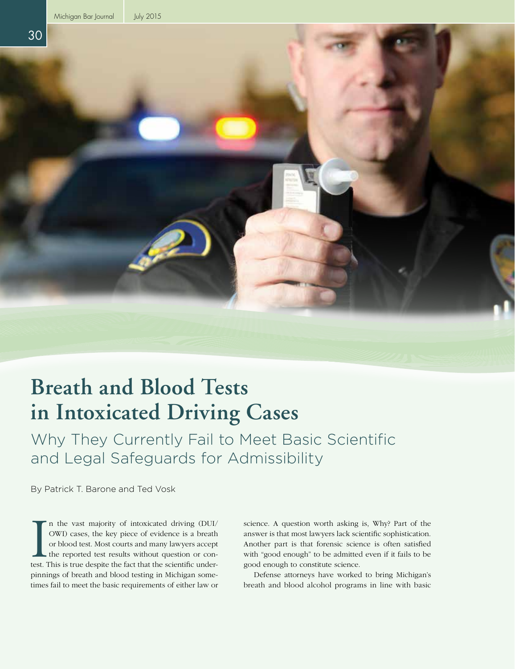

# **Breath and Blood Tests in Intoxicated Driving Cases**

Why They Currently Fail to Meet Basic Scientific and Legal Safeguards for Admissibility

By Patrick T. Barone and Ted Vosk

In the vast majority of intoxicated driving (DUI/OWI) cases, the key piece of evidence is a breath or blood test. Most courts and many lawyers accept the reported test results without question or contest. This is true desp n the vast majority of intoxicated driving (DUI/ OWI) cases, the key piece of evidence is a breath or blood test. Most courts and many lawyers accept the reported test results without question or conpinnings of breath and blood testing in Michigan sometimes fail to meet the basic requirements of either law or

science. A question worth asking is, Why? Part of the answer is that most lawyers lack scientific sophistication. Another part is that forensic science is often satisfied with "good enough" to be admitted even if it fails to be good enough to constitute science.

Defense attorneys have worked to bring Michigan's breath and blood alcohol programs in line with basic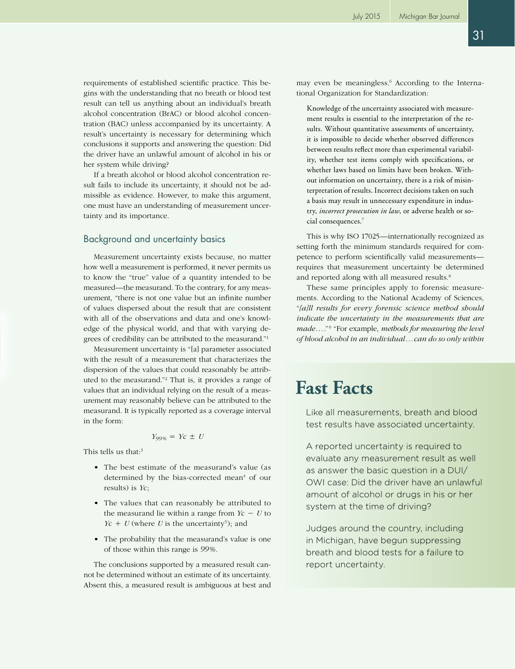requirements of established scientific practice. This begins with the understanding that no breath or blood test result can tell us anything about an individual's breath alcohol concentration (BrAC) or blood alcohol concentration (BAC) unless accompanied by its uncertainty. A result's uncertainty is necessary for determining which conclusions it supports and answering the question: Did the driver have an unlawful amount of alcohol in his or her system while driving?

If a breath alcohol or blood alcohol concentration result fails to include its uncertainty, it should not be admissible as evidence. However, to make this argument, one must have an understanding of measurement uncertainty and its importance.

## Background and uncertainty basics

Measurement uncertainty exists because, no matter how well a measurement is performed, it never permits us to know the "true" value of a quantity intended to be measured—the measurand. To the contrary, for any measurement, "there is not one value but an infinite number of values dispersed about the result that are consistent with all of the observations and data and one's knowledge of the physical world, and that with varying degrees of credibility can be attributed to the measurand."1

Measurement uncertainty is "[a] parameter associated with the result of a measurement that characterizes the dispersion of the values that could reasonably be attributed to the measurand."2 That is, it provides a range of values that an individual relying on the result of a measurement may reasonably believe can be attributed to the measurand. It is typically reported as a coverage interval in the form:

$$
Y_{99\%} = Yc \pm U
$$

This tells us that:<sup>3</sup>

- The best estimate of the measurand's value (as determined by the bias-corrected mean<sup>4</sup> of our results) is *Yc*;
- The values that can reasonably be attributed to the measurand lie within a range from  $Y_c - U$  to  $Yc + U$  (where U is the uncertainty<sup>5</sup>); and
- The probability that the measurand's value is one of those within this range is *99%*.

The conclusions supported by a measured result cannot be determined without an estimate of its uncertainty. Absent this, a measured result is ambiguous at best and

may even be meaningless.<sup>6</sup> According to the International Organization for Standardization:

Knowledge of the uncertainty associated with measurement results is essential to the interpretation of the results. Without quantitative assessments of uncertainty, it is impossible to decide whether observed differences between results reflect more than experimental variability, whether test items comply with specifications, or whether laws based on limits have been broken. Without information on uncertainty, there is a risk of misinterpretation of results. Incorrect decisions taken on such a basis may result in unnecessary expenditure in industry, *incorrect prosecution in law*, or adverse health or social consequences.7

This is why ISO 17025—internationally recognized as setting forth the minimum standards required for competence to perform scientifically valid measurements requires that measurement uncertainty be determined and reported along with all measured results.<sup>8</sup>

These same principles apply to forensic measurements. According to the National Academy of Sciences, "*[a]ll results for every forensic science method should indicate the uncertainty in the measurements that are*  made...."<sup>9</sup> "For example, *methods for measuring the level of blood alcohol in an individual*...*can do so only within* 

## **Fast Facts**

Like all measurements, breath and blood test results have associated uncertainty.

A reported uncertainty is required to evaluate any measurement result as well as answer the basic question in a DUI/ OWI case: Did the driver have an unlawful amount of alcohol or drugs in his or her system at the time of driving?

Judges around the country, including in Michigan, have begun suppressing breath and blood tests for a failure to report uncertainty.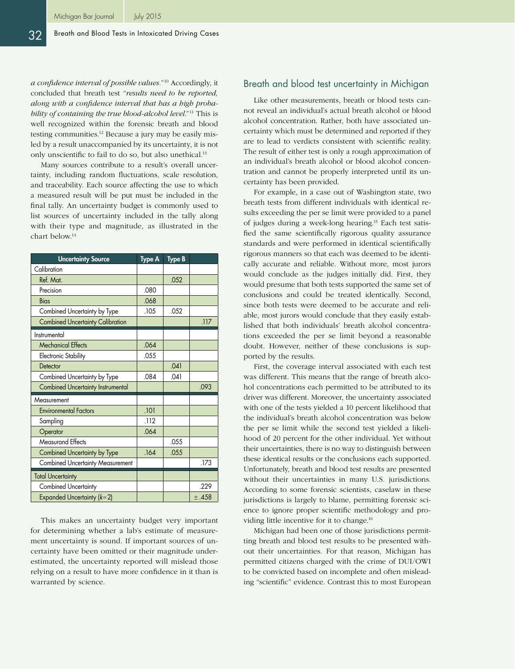*a confidence interval of possible values.*"10 Accordingly, it concluded that breath test "*results need to be reported, along with a confidence interval that has a high probability of containing the true blood-alcohol level*."11 This is well recognized within the forensic breath and blood testing communities.12 Because a jury may be easily misled by a result unaccompanied by its uncertainty, it is not only unscientific to fail to do so, but also unethical.13

Many sources contribute to a result's overall uncertainty, including random fluctuations, scale resolution, and traceability. Each source affecting the use to which a measured result will be put must be included in the final tally. An uncertainty budget is commonly used to list sources of uncertainty included in the tally along with their type and magnitude, as illustrated in the chart below.14

| <b>Uncertainty Source</b>               | <b>Type A</b> | <b>Type B</b> |       |
|-----------------------------------------|---------------|---------------|-------|
| Calibration                             |               |               |       |
| Ref. Mat.                               |               | .052          |       |
| Precision                               | .080          |               |       |
| <b>Bias</b>                             | .068          |               |       |
| Combined Uncertainty by Type            | .105          | .052          |       |
| <b>Combined Uncertainty Calibration</b> |               |               | .117  |
| Instrumental                            |               |               |       |
| <b>Mechanical Effects</b>               | .064          |               |       |
| <b>Electronic Stability</b>             | .055          |               |       |
| Detector                                |               | .041          |       |
| Combined Uncertainty by Type            | .084          | .041          |       |
| Combined Uncertainty Instrumental       |               |               | .093  |
| Measurement                             |               |               |       |
| <b>Environmental Factors</b>            | .101          |               |       |
| Sampling                                | .112          |               |       |
| Operator                                | .064          |               |       |
| <b>Measurand Effects</b>                |               | .055          |       |
| Combined Uncertainty by Type            | .164          | .055          |       |
| <b>Combined Uncertainty Measurement</b> |               |               | .173  |
| <b>Total Uncertainty</b>                |               |               |       |
| <b>Combined Uncertainty</b>             |               |               | .229  |
| Expanded Uncertainty $(k=2)$            |               |               | ±.458 |

This makes an uncertainty budget very important for determining whether a lab's estimate of measurement uncertainty is sound. If important sources of uncertainty have been omitted or their magnitude underestimated, the uncertainty reported will mislead those relying on a result to have more confidence in it than is warranted by science.

## Breath and blood test uncertainty in Michigan

Like other measurements, breath or blood tests cannot reveal an individual's actual breath alcohol or blood alcohol concentration. Rather, both have associated uncertainty which must be determined and reported if they are to lead to verdicts consistent with scientific reality. The result of either test is only a rough approximation of an individual's breath alcohol or blood alcohol concentration and cannot be properly interpreted until its uncertainty has been provided.

For example, in a case out of Washington state, two breath tests from different individuals with identical results exceeding the per se limit were provided to a panel of judges during a week-long hearing.15 Each test satisfied the same scientifically rigorous quality assurance standards and were performed in identical scientifically rigorous manners so that each was deemed to be identically accurate and reliable. Without more, most jurors would conclude as the judges initially did. First, they would presume that both tests supported the same set of conclusions and could be treated identically. Second, since both tests were deemed to be accurate and reliable, most jurors would conclude that they easily established that both individuals' breath alcohol concentrations exceeded the per se limit beyond a reasonable doubt. However, neither of these conclusions is supported by the results.

First, the coverage interval associated with each test was different. This means that the range of breath alcohol concentrations each permitted to be attributed to its driver was different. Moreover, the uncertainty associated with one of the tests yielded a 10 percent likelihood that the individual's breath alcohol concentration was below the per se limit while the second test yielded a likelihood of 20 percent for the other individual. Yet without their uncertainties, there is no way to distinguish between these identical results or the conclusions each supported. Unfortunately, breath and blood test results are presented without their uncertainties in many U.S. jurisdictions. According to some forensic scientists, caselaw in these jurisdictions is largely to blame, permitting forensic science to ignore proper scientific methodology and providing little incentive for it to change.<sup>16</sup>

Michigan had been one of those jurisdictions permitting breath and blood test results to be presented without their uncertainties. For that reason, Michigan has permitted citizens charged with the crime of DUI/OWI to be convicted based on incomplete and often misleading "scientific" evidence. Contrast this to most European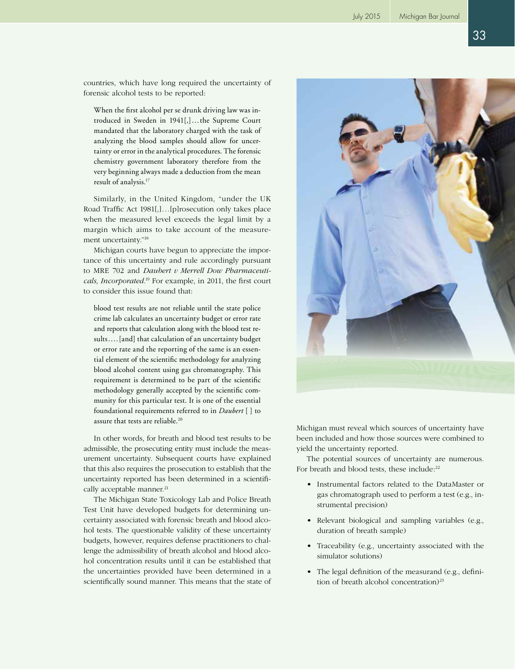countries, which have long required the uncertainty of forensic alcohol tests to be reported:

When the first alcohol per se drunk driving law was introduced in Sweden in 1941[,]...the Supreme Court mandated that the laboratory charged with the task of analyzing the blood samples should allow for uncertainty or error in the analytical procedures. The forensic chemistry government laboratory therefore from the very beginning always made a deduction from the mean result of analysis.17

Similarly, in the United Kingdom, "under the UK Road Traffic Act 1981[,]...[p]rosecution only takes place when the measured level exceeds the legal limit by a margin which aims to take account of the measurement uncertainty."18

Michigan courts have begun to appreciate the importance of this uncertainty and rule accordingly pursuant to MRE 702 and *Daubert v Merrell Dow Pharmaceuticals, Incorporated*. 19 For example, in 2011, the first court to consider this issue found that:

blood test results are not reliable until the state police crime lab calculates an uncertainty budget or error rate and reports that calculation along with the blood test results....[and] that calculation of an uncertainty budget or error rate and the reporting of the same is an essential element of the scientific methodology for analyzing blood alcohol content using gas chromatography. This requirement is determined to be part of the scientific methodology generally accepted by the scientific community for this particular test. It is one of the essential foundational requirements referred to in *Daubert* [ ] to assure that tests are reliable.<sup>20</sup>

In other words, for breath and blood test results to be admissible, the prosecuting entity must include the measurement uncertainty. Subsequent courts have explained that this also requires the prosecution to establish that the uncertainty reported has been determined in a scientifically acceptable manner.<sup>21</sup>

The Michigan State Toxicology Lab and Police Breath Test Unit have developed budgets for determining uncertainty associated with forensic breath and blood alcohol tests. The questionable validity of these uncertainty budgets, however, requires defense practitioners to challenge the admissibility of breath alcohol and blood alcohol concentration results until it can be established that the uncertainties provided have been determined in a scientifically sound manner. This means that the state of



Michigan must reveal which sources of uncertainty have been included and how those sources were combined to yield the uncertainty reported.

The potential sources of uncertainty are numerous. For breath and blood tests, these include:<sup>22</sup>

- Instrumental factors related to the DataMaster or gas chromatograph used to perform a test (e.g., instrumental precision)
- Relevant biological and sampling variables (e.g., duration of breath sample)
- Traceability (e.g., uncertainty associated with the simulator solutions)
- The legal definition of the measurand (e.g., definition of breath alcohol concentration) $23$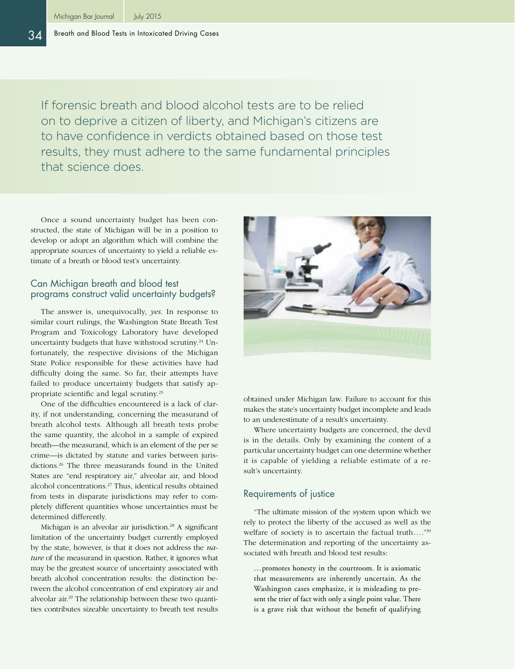#### 34 Breath and Blood Tests in Intoxicated Driving Cases

If forensic breath and blood alcohol tests are to be relied on to deprive a citizen of liberty, and Michigan's citizens are to have confidence in verdicts obtained based on those test results, they must adhere to the same fundamental principles that science does.

Once a sound uncertainty budget has been constructed, the state of Michigan will be in a position to develop or adopt an algorithm which will combine the appropriate sources of uncertainty to yield a reliable estimate of a breath or blood test's uncertainty.

## Can Michigan breath and blood test programs construct valid uncertainty budgets?

The answer is, unequivocally, *yes*. In response to similar court rulings, the Washington State Breath Test Program and Toxicology Laboratory have developed uncertainty budgets that have withstood scrutiny.<sup>24</sup> Unfortunately, the respective divisions of the Michigan State Police responsible for these activities have had difficulty doing the same. So far, their attempts have failed to produce uncertainty budgets that satisfy appropriate scientific and legal scrutiny.25

One of the difficulties encountered is a lack of clarity, if not understanding, concerning the measurand of breath alcohol tests. Although all breath tests probe the same quantity, the alcohol in a sample of expired breath—the measurand, which is an element of the per se crime—is dictated by statute and varies between jurisdictions.26 The three measurands found in the United States are "end respiratory air," alveolar air, and blood alcohol concentrations.27 Thus, identical results obtained from tests in disparate jurisdictions may refer to completely different quantities whose uncertainties must be determined differently.

Michigan is an alveolar air jurisdiction.<sup>28</sup> A significant limitation of the uncertainty budget currently employed by the state, however, is that it does not address the *nature* of the measurand in question. Rather, it ignores what may be the greatest source of uncertainty associated with breath alcohol concentration results: the distinction between the alcohol concentration of end expiratory air and alveolar air.29 The relationship between these two quantities contributes sizeable uncertainty to breath test results



obtained under Michigan law. Failure to account for this makes the state's uncertainty budget incomplete and leads to an underestimate of a result's uncertainty.

Where uncertainty budgets are concerned, the devil is in the details. Only by examining the content of a particular uncertainty budget can one determine whether it is capable of yielding a reliable estimate of a result's uncertainty.

## Requirements of justice

"The ultimate mission of the system upon which we rely to protect the liberty of the accused as well as the welfare of society is to ascertain the factual truth...."<sup>30</sup> The determination and reporting of the uncertainty associated with breath and blood test results:

...promotes honesty in the courtroom. It is axiomatic that measurements are inherently uncertain. As the Washington cases emphasize, it is misleading to present the trier of fact with only a single point value. There is a grave risk that without the benefit of qualifying